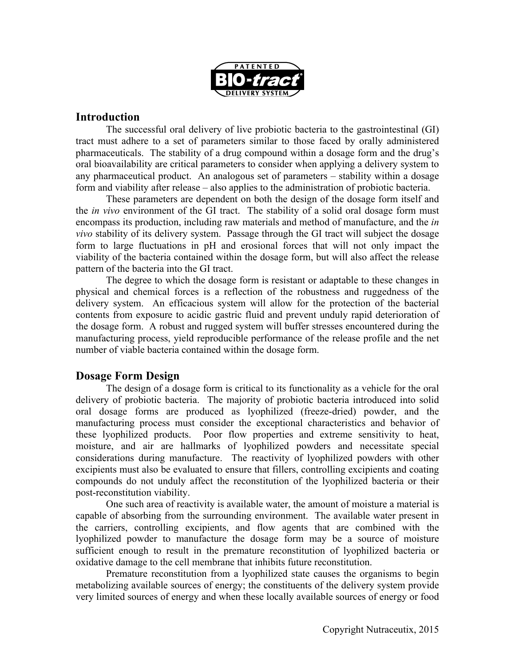

### **Introduction**

The successful oral delivery of live probiotic bacteria to the gastrointestinal (GI) tract must adhere to a set of parameters similar to those faced by orally administered pharmaceuticals. The stability of a drug compound within a dosage form and the drug's oral bioavailability are critical parameters to consider when applying a delivery system to any pharmaceutical product. An analogous set of parameters – stability within a dosage form and viability after release – also applies to the administration of probiotic bacteria.

These parameters are dependent on both the design of the dosage form itself and the *in vivo* environment of the GI tract. The stability of a solid oral dosage form must encompass its production, including raw materials and method of manufacture, and the *in vivo* stability of its delivery system. Passage through the GI tract will subject the dosage form to large fluctuations in pH and erosional forces that will not only impact the viability of the bacteria contained within the dosage form, but will also affect the release pattern of the bacteria into the GI tract.

The degree to which the dosage form is resistant or adaptable to these changes in physical and chemical forces is a reflection of the robustness and ruggedness of the delivery system. An efficacious system will allow for the protection of the bacterial contents from exposure to acidic gastric fluid and prevent unduly rapid deterioration of the dosage form. A robust and rugged system will buffer stresses encountered during the manufacturing process, yield reproducible performance of the release profile and the net number of viable bacteria contained within the dosage form.

# **Dosage Form Design**

The design of a dosage form is critical to its functionality as a vehicle for the oral delivery of probiotic bacteria. The majority of probiotic bacteria introduced into solid oral dosage forms are produced as lyophilized (freeze-dried) powder, and the manufacturing process must consider the exceptional characteristics and behavior of these lyophilized products. Poor flow properties and extreme sensitivity to heat, moisture, and air are hallmarks of lyophilized powders and necessitate special considerations during manufacture. The reactivity of lyophilized powders with other excipients must also be evaluated to ensure that fillers, controlling excipients and coating compounds do not unduly affect the reconstitution of the lyophilized bacteria or their post-reconstitution viability.

One such area of reactivity is available water, the amount of moisture a material is capable of absorbing from the surrounding environment. The available water present in the carriers, controlling excipients, and flow agents that are combined with the lyophilized powder to manufacture the dosage form may be a source of moisture sufficient enough to result in the premature reconstitution of lyophilized bacteria or oxidative damage to the cell membrane that inhibits future reconstitution.

Premature reconstitution from a lyophilized state causes the organisms to begin metabolizing available sources of energy; the constituents of the delivery system provide very limited sources of energy and when these locally available sources of energy or food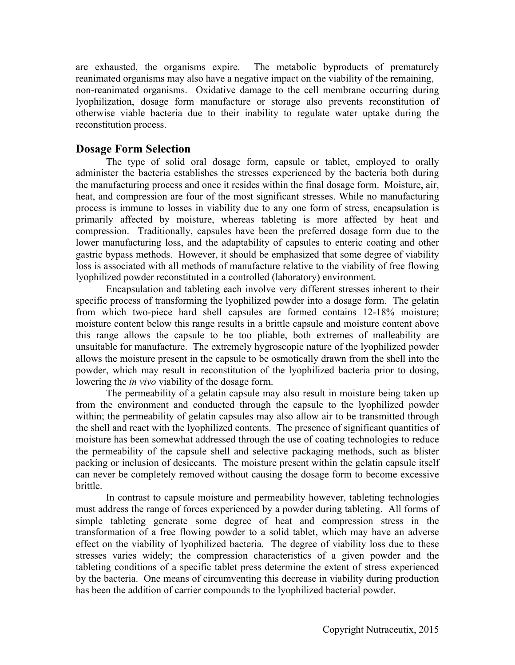are exhausted, the organisms expire. The metabolic byproducts of prematurely reanimated organisms may also have a negative impact on the viability of the remaining, non-reanimated organisms. Oxidative damage to the cell membrane occurring during lyophilization, dosage form manufacture or storage also prevents reconstitution of otherwise viable bacteria due to their inability to regulate water uptake during the reconstitution process.

## **Dosage Form Selection**

The type of solid oral dosage form, capsule or tablet, employed to orally administer the bacteria establishes the stresses experienced by the bacteria both during the manufacturing process and once it resides within the final dosage form. Moisture, air, heat, and compression are four of the most significant stresses. While no manufacturing process is immune to losses in viability due to any one form of stress, encapsulation is primarily affected by moisture, whereas tableting is more affected by heat and compression. Traditionally, capsules have been the preferred dosage form due to the lower manufacturing loss, and the adaptability of capsules to enteric coating and other gastric bypass methods. However, it should be emphasized that some degree of viability loss is associated with all methods of manufacture relative to the viability of free flowing lyophilized powder reconstituted in a controlled (laboratory) environment.

Encapsulation and tableting each involve very different stresses inherent to their specific process of transforming the lyophilized powder into a dosage form. The gelatin from which two-piece hard shell capsules are formed contains 12-18% moisture; moisture content below this range results in a brittle capsule and moisture content above this range allows the capsule to be too pliable, both extremes of malleability are unsuitable for manufacture. The extremely hygroscopic nature of the lyophilized powder allows the moisture present in the capsule to be osmotically drawn from the shell into the powder, which may result in reconstitution of the lyophilized bacteria prior to dosing, lowering the *in vivo* viability of the dosage form.

The permeability of a gelatin capsule may also result in moisture being taken up from the environment and conducted through the capsule to the lyophilized powder within; the permeability of gelatin capsules may also allow air to be transmitted through the shell and react with the lyophilized contents. The presence of significant quantities of moisture has been somewhat addressed through the use of coating technologies to reduce the permeability of the capsule shell and selective packaging methods, such as blister packing or inclusion of desiccants. The moisture present within the gelatin capsule itself can never be completely removed without causing the dosage form to become excessive brittle.

In contrast to capsule moisture and permeability however, tableting technologies must address the range of forces experienced by a powder during tableting. All forms of simple tableting generate some degree of heat and compression stress in the transformation of a free flowing powder to a solid tablet, which may have an adverse effect on the viability of lyophilized bacteria. The degree of viability loss due to these stresses varies widely; the compression characteristics of a given powder and the tableting conditions of a specific tablet press determine the extent of stress experienced by the bacteria. One means of circumventing this decrease in viability during production has been the addition of carrier compounds to the lyophilized bacterial powder.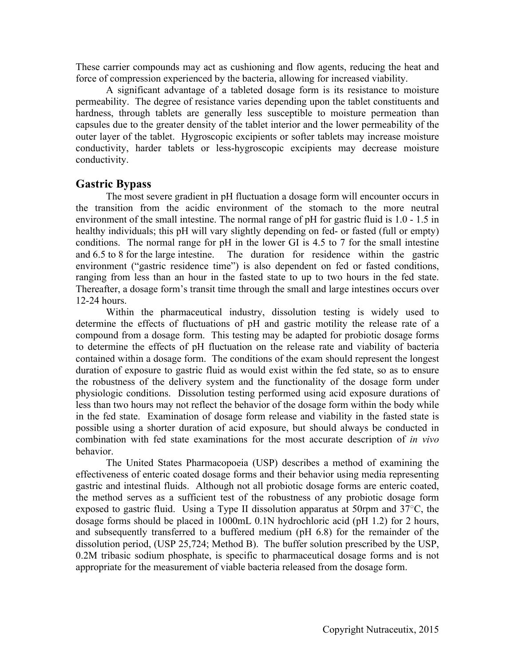These carrier compounds may act as cushioning and flow agents, reducing the heat and force of compression experienced by the bacteria, allowing for increased viability.

A significant advantage of a tableted dosage form is its resistance to moisture permeability. The degree of resistance varies depending upon the tablet constituents and hardness, through tablets are generally less susceptible to moisture permeation than capsules due to the greater density of the tablet interior and the lower permeability of the outer layer of the tablet. Hygroscopic excipients or softer tablets may increase moisture conductivity, harder tablets or less-hygroscopic excipients may decrease moisture conductivity.

#### **Gastric Bypass**

The most severe gradient in pH fluctuation a dosage form will encounter occurs in the transition from the acidic environment of the stomach to the more neutral environment of the small intestine. The normal range of pH for gastric fluid is 1.0 - 1.5 in healthy individuals; this pH will vary slightly depending on fed- or fasted (full or empty) conditions. The normal range for pH in the lower GI is 4.5 to 7 for the small intestine and 6.5 to 8 for the large intestine. The duration for residence within the gastric environment ("gastric residence time") is also dependent on fed or fasted conditions, ranging from less than an hour in the fasted state to up to two hours in the fed state. Thereafter, a dosage form's transit time through the small and large intestines occurs over 12-24 hours.

Within the pharmaceutical industry, dissolution testing is widely used to determine the effects of fluctuations of pH and gastric motility the release rate of a compound from a dosage form. This testing may be adapted for probiotic dosage forms to determine the effects of pH fluctuation on the release rate and viability of bacteria contained within a dosage form. The conditions of the exam should represent the longest duration of exposure to gastric fluid as would exist within the fed state, so as to ensure the robustness of the delivery system and the functionality of the dosage form under physiologic conditions. Dissolution testing performed using acid exposure durations of less than two hours may not reflect the behavior of the dosage form within the body while in the fed state. Examination of dosage form release and viability in the fasted state is possible using a shorter duration of acid exposure, but should always be conducted in combination with fed state examinations for the most accurate description of *in vivo* behavior.

The United States Pharmacopoeia (USP) describes a method of examining the effectiveness of enteric coated dosage forms and their behavior using media representing gastric and intestinal fluids. Although not all probiotic dosage forms are enteric coated, the method serves as a sufficient test of the robustness of any probiotic dosage form exposed to gastric fluid. Using a Type II dissolution apparatus at 50rpm and 37○C, the dosage forms should be placed in 1000mL 0.1N hydrochloric acid (pH 1.2) for 2 hours, and subsequently transferred to a buffered medium (pH 6.8) for the remainder of the dissolution period, (USP 25,724; Method B). The buffer solution prescribed by the USP, 0.2M tribasic sodium phosphate, is specific to pharmaceutical dosage forms and is not appropriate for the measurement of viable bacteria released from the dosage form.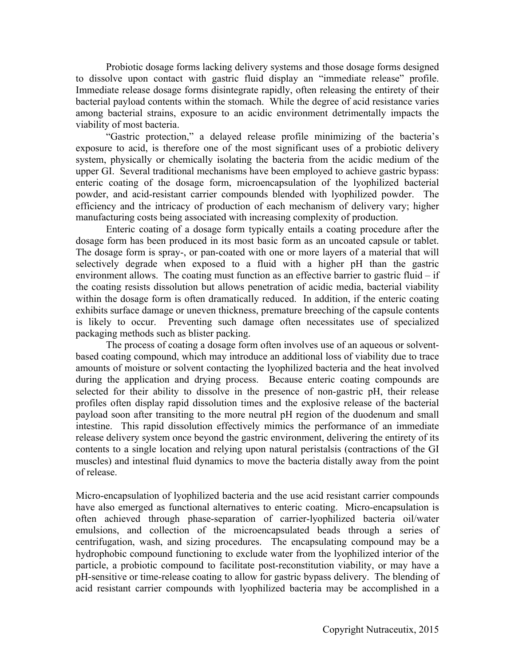Probiotic dosage forms lacking delivery systems and those dosage forms designed to dissolve upon contact with gastric fluid display an "immediate release" profile. Immediate release dosage forms disintegrate rapidly, often releasing the entirety of their bacterial payload contents within the stomach. While the degree of acid resistance varies among bacterial strains, exposure to an acidic environment detrimentally impacts the viability of most bacteria.

"Gastric protection," a delayed release profile minimizing of the bacteria's exposure to acid, is therefore one of the most significant uses of a probiotic delivery system, physically or chemically isolating the bacteria from the acidic medium of the upper GI. Several traditional mechanisms have been employed to achieve gastric bypass: enteric coating of the dosage form, microencapsulation of the lyophilized bacterial powder, and acid-resistant carrier compounds blended with lyophilized powder. The efficiency and the intricacy of production of each mechanism of delivery vary; higher manufacturing costs being associated with increasing complexity of production.

Enteric coating of a dosage form typically entails a coating procedure after the dosage form has been produced in its most basic form as an uncoated capsule or tablet. The dosage form is spray-, or pan-coated with one or more layers of a material that will selectively degrade when exposed to a fluid with a higher pH than the gastric environment allows. The coating must function as an effective barrier to gastric fluid  $-$  if the coating resists dissolution but allows penetration of acidic media, bacterial viability within the dosage form is often dramatically reduced. In addition, if the enteric coating exhibits surface damage or uneven thickness, premature breeching of the capsule contents is likely to occur. Preventing such damage often necessitates use of specialized packaging methods such as blister packing.

The process of coating a dosage form often involves use of an aqueous or solventbased coating compound, which may introduce an additional loss of viability due to trace amounts of moisture or solvent contacting the lyophilized bacteria and the heat involved during the application and drying process. Because enteric coating compounds are selected for their ability to dissolve in the presence of non-gastric pH, their release profiles often display rapid dissolution times and the explosive release of the bacterial payload soon after transiting to the more neutral pH region of the duodenum and small intestine. This rapid dissolution effectively mimics the performance of an immediate release delivery system once beyond the gastric environment, delivering the entirety of its contents to a single location and relying upon natural peristalsis (contractions of the GI muscles) and intestinal fluid dynamics to move the bacteria distally away from the point of release.

Micro-encapsulation of lyophilized bacteria and the use acid resistant carrier compounds have also emerged as functional alternatives to enteric coating. Micro-encapsulation is often achieved through phase-separation of carrier-lyophilized bacteria oil/water emulsions, and collection of the microencapsulated beads through a series of centrifugation, wash, and sizing procedures. The encapsulating compound may be a hydrophobic compound functioning to exclude water from the lyophilized interior of the particle, a probiotic compound to facilitate post-reconstitution viability, or may have a pH-sensitive or time-release coating to allow for gastric bypass delivery. The blending of acid resistant carrier compounds with lyophilized bacteria may be accomplished in a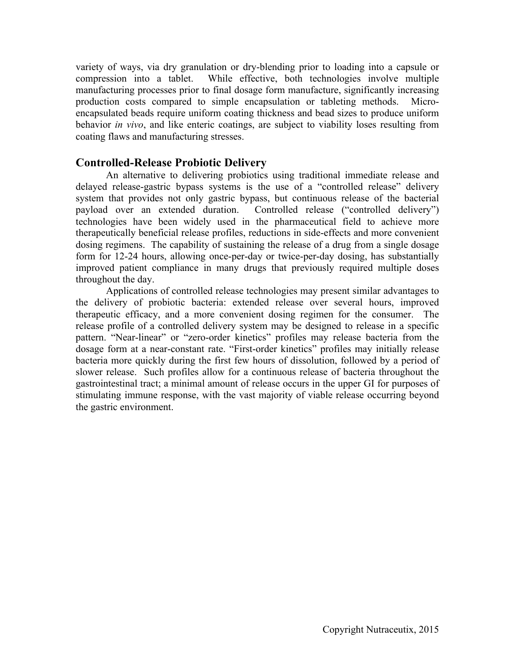variety of ways, via dry granulation or dry-blending prior to loading into a capsule or compression into a tablet. While effective, both technologies involve multiple manufacturing processes prior to final dosage form manufacture, significantly increasing production costs compared to simple encapsulation or tableting methods. Microencapsulated beads require uniform coating thickness and bead sizes to produce uniform behavior *in vivo*, and like enteric coatings, are subject to viability loses resulting from coating flaws and manufacturing stresses.

#### **Controlled-Release Probiotic Delivery**

An alternative to delivering probiotics using traditional immediate release and delayed release-gastric bypass systems is the use of a "controlled release" delivery system that provides not only gastric bypass, but continuous release of the bacterial payload over an extended duration. Controlled release ("controlled delivery") technologies have been widely used in the pharmaceutical field to achieve more therapeutically beneficial release profiles, reductions in side-effects and more convenient dosing regimens. The capability of sustaining the release of a drug from a single dosage form for 12-24 hours, allowing once-per-day or twice-per-day dosing, has substantially improved patient compliance in many drugs that previously required multiple doses throughout the day.

Applications of controlled release technologies may present similar advantages to the delivery of probiotic bacteria: extended release over several hours, improved therapeutic efficacy, and a more convenient dosing regimen for the consumer. The release profile of a controlled delivery system may be designed to release in a specific pattern. "Near-linear" or "zero-order kinetics" profiles may release bacteria from the dosage form at a near-constant rate. "First-order kinetics" profiles may initially release bacteria more quickly during the first few hours of dissolution, followed by a period of slower release. Such profiles allow for a continuous release of bacteria throughout the gastrointestinal tract; a minimal amount of release occurs in the upper GI for purposes of stimulating immune response, with the vast majority of viable release occurring beyond the gastric environment.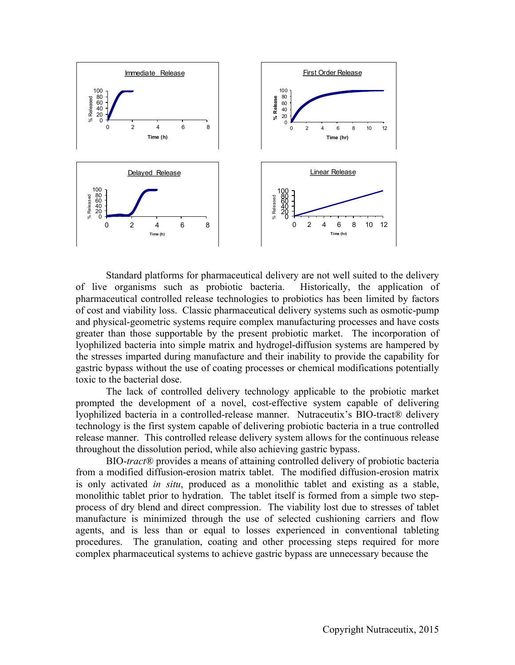

Standard platforms for pharmaceutical delivery are not well suited to the delivery of live organisms such as probiotic bacteria. Historically, the application of pharmaceutical controlled release technologies to probiotics has been limited by factors of cost and viability loss. Classic pharmaceutical delivery systems such as osmotic-pump and physical-geometric systems require complex manufacturing processes and have costs greater than those supportable by the present probiotic market. The incorporation of lyophilized bacteria into simple matrix and hydrogel-diffusion systems are hampered by the stresses imparted during manufacture and their inability to provide the capability for gastric bypass without the use of coating processes or chemical modifications potentially toxic to the bacterial dose.

The lack of controlled delivery technology applicable to the probiotic market prompted the development of a novel, cost-effective system capable of delivering lyophilized bacteria in a controlled-release manner. Nutraceutix's BIO-tract® delivery technology is the first system capable of delivering probiotic bacteria in a true controlled release manner. This controlled release delivery system allows for the continuous release throughout the dissolution period, while also achieving gastric bypass.

BIO-*tract*® provides a means of attaining controlled delivery of probiotic bacteria from a modified diffusion-erosion matrix tablet. The modified diffusion-erosion matrix is only activated *in situ*, produced as a monolithic tablet and existing as a stable, monolithic tablet prior to hydration. The tablet itself is formed from a simple two stepprocess of dry blend and direct compression. The viability lost due to stresses of tablet manufacture is minimized through the use of selected cushioning carriers and flow agents, and is less than or equal to losses experienced in conventional tableting procedures. The granulation, coating and other processing steps required for more complex pharmaceutical systems to achieve gastric bypass are unnecessary because the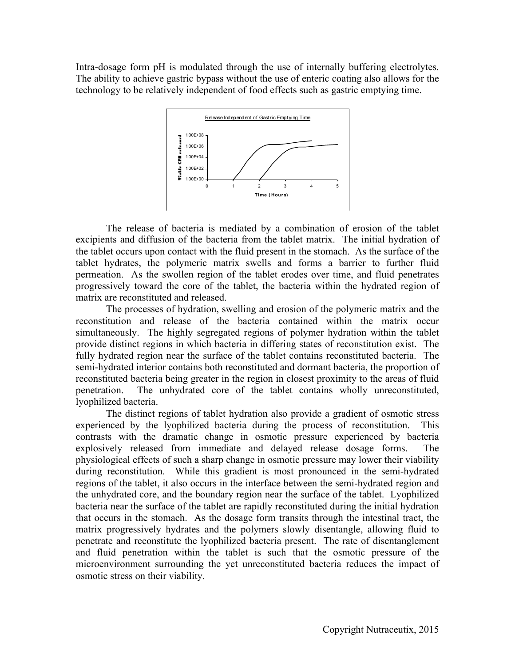Intra-dosage form pH is modulated through the use of internally buffering electrolytes. The ability to achieve gastric bypass without the use of enteric coating also allows for the technology to be relatively independent of food effects such as gastric emptying time.



The release of bacteria is mediated by a combination of erosion of the tablet excipients and diffusion of the bacteria from the tablet matrix. The initial hydration of the tablet occurs upon contact with the fluid present in the stomach. As the surface of the tablet hydrates, the polymeric matrix swells and forms a barrier to further fluid permeation. As the swollen region of the tablet erodes over time, and fluid penetrates progressively toward the core of the tablet, the bacteria within the hydrated region of matrix are reconstituted and released.

The processes of hydration, swelling and erosion of the polymeric matrix and the reconstitution and release of the bacteria contained within the matrix occur simultaneously. The highly segregated regions of polymer hydration within the tablet provide distinct regions in which bacteria in differing states of reconstitution exist. The fully hydrated region near the surface of the tablet contains reconstituted bacteria. The semi-hydrated interior contains both reconstituted and dormant bacteria, the proportion of reconstituted bacteria being greater in the region in closest proximity to the areas of fluid penetration. The unhydrated core of the tablet contains wholly unreconstituted, lyophilized bacteria.

The distinct regions of tablet hydration also provide a gradient of osmotic stress experienced by the lyophilized bacteria during the process of reconstitution. This contrasts with the dramatic change in osmotic pressure experienced by bacteria explosively released from immediate and delayed release dosage forms. The physiological effects of such a sharp change in osmotic pressure may lower their viability during reconstitution. While this gradient is most pronounced in the semi-hydrated regions of the tablet, it also occurs in the interface between the semi-hydrated region and the unhydrated core, and the boundary region near the surface of the tablet. Lyophilized bacteria near the surface of the tablet are rapidly reconstituted during the initial hydration that occurs in the stomach. As the dosage form transits through the intestinal tract, the matrix progressively hydrates and the polymers slowly disentangle, allowing fluid to penetrate and reconstitute the lyophilized bacteria present. The rate of disentanglement and fluid penetration within the tablet is such that the osmotic pressure of the microenvironment surrounding the yet unreconstituted bacteria reduces the impact of osmotic stress on their viability.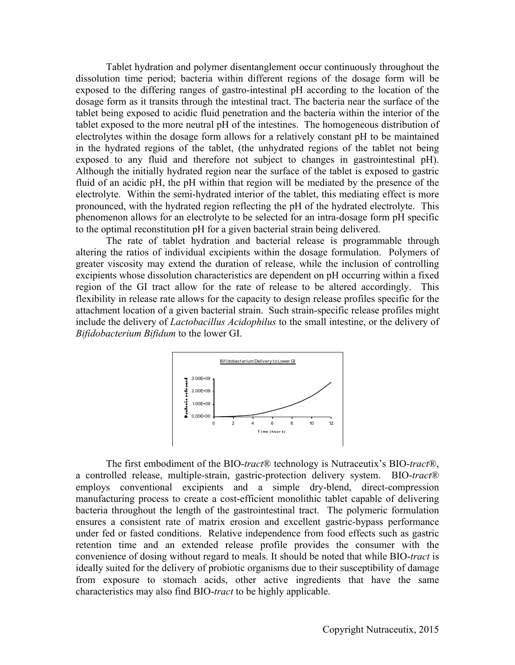Tablet hydration and polymer disentanglement occur continuously throughout the dissolution time period; bacteria within different regions of the dosage form will be exposed to the differing ranges of gastro-intestinal pH according to the location of the dosage form as it transits through the intestinal tract. The bacteria near the surface of the tablet being exposed to acidic fluid penetration and the bacteria within the interior of the tablet exposed to the more neutral pH of the intestines. The homogeneous distribution of electrolytes within the dosage form allows for a relatively constant pH to be maintained in the hydrated regions of the tablet, (the unhydrated regions of the tablet not being exposed to any fluid and therefore not subject to changes in gastrointestinal pH). Although the initially hydrated region near the surface of the tablet is exposed to gastric fluid of an acidic pH, the pH within that region will be mediated by the presence of the electrolyte. Within the semi-hydrated interior of the tablet, this mediating effect is more pronounced, with the hydrated region reflecting the pH of the hydrated electrolyte. This phenomenon allows for an electrolyte to be selected for an intra-dosage form pH specific to the optimal reconstitution pH for a given bacterial strain being delivered.

The rate of tablet hydration and bacterial release is programmable through altering the ratios of individual excipients within the dosage formulation. Polymers of greater viscosity may extend the duration of release, while the inclusion of controlling excipients whose dissolution characteristics are dependent on pH occurring within a fixed region of the GI tract allow for the rate of release to be altered accordingly. This flexibility in release rate allows for the capacity to design release profiles specific for the attachment location of a given bacterial strain. Such strain-specific release profiles might include the delivery of *Lactobacillus Acidophilus* to the small intestine, or the delivery of *Bifidobacterium Bifidum* to the lower GI.



The first embodiment of the BIO-*tract*® technology is Nutraceutix's BIO-*tract*®, a controlled release, multiple-strain, gastric-protection delivery system. BIO-*tract*® employs conventional excipients and a simple dry-blend, direct-compression manufacturing process to create a cost-efficient monolithic tablet capable of delivering bacteria throughout the length of the gastrointestinal tract. The polymeric formulation ensures a consistent rate of matrix erosion and excellent gastric-bypass performance under fed or fasted conditions. Relative independence from food effects such as gastric retention time and an extended release profile provides the consumer with the convenience of dosing without regard to meals. It should be noted that while BIO-*tract* is ideally suited for the delivery of probiotic organisms due to their susceptibility of damage from exposure to stomach acids, other active ingredients that have the same characteristics may also find BIO-*tract* to be highly applicable.